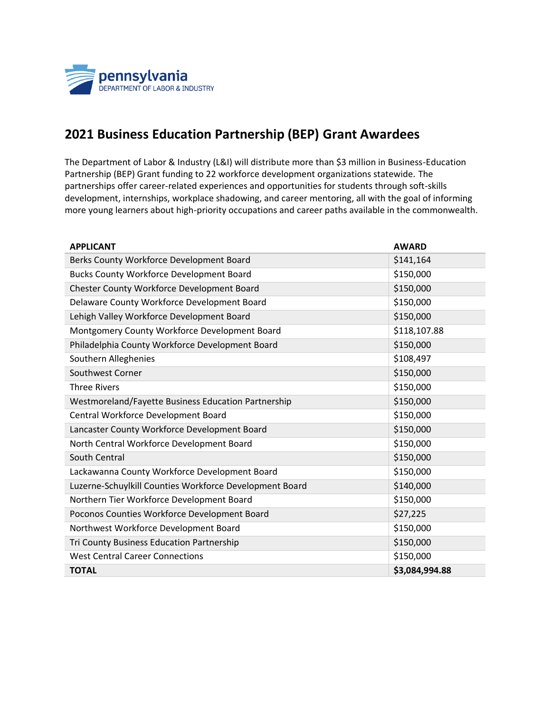

## **2021 Business Education Partnership (BEP) Grant Awardees**

The Department of Labor & Industry (L&I) will distribute more than \$3 million in Business-Education Partnership (BEP) Grant funding to 22 workforce development organizations statewide. The partnerships offer career-related experiences and opportunities for students through soft-skills development, internships, workplace shadowing, and career mentoring, all with the goal of informing more young learners about high-priority occupations and career paths available in the commonwealth.

| <b>APPLICANT</b>                                        | <b>AWARD</b>   |
|---------------------------------------------------------|----------------|
| Berks County Workforce Development Board                | \$141,164      |
| <b>Bucks County Workforce Development Board</b>         | \$150,000      |
| Chester County Workforce Development Board              | \$150,000      |
| Delaware County Workforce Development Board             | \$150,000      |
| Lehigh Valley Workforce Development Board               | \$150,000      |
| Montgomery County Workforce Development Board           | \$118,107.88   |
| Philadelphia County Workforce Development Board         | \$150,000      |
| Southern Alleghenies                                    | \$108,497      |
| Southwest Corner                                        | \$150,000      |
| <b>Three Rivers</b>                                     | \$150,000      |
| Westmoreland/Fayette Business Education Partnership     | \$150,000      |
| Central Workforce Development Board                     | \$150,000      |
| Lancaster County Workforce Development Board            | \$150,000      |
| North Central Workforce Development Board               | \$150,000      |
| South Central                                           | \$150,000      |
| Lackawanna County Workforce Development Board           | \$150,000      |
| Luzerne-Schuylkill Counties Workforce Development Board | \$140,000      |
| Northern Tier Workforce Development Board               | \$150,000      |
| Poconos Counties Workforce Development Board            | \$27,225       |
| Northwest Workforce Development Board                   | \$150,000      |
| Tri County Business Education Partnership               | \$150,000      |
| <b>West Central Career Connections</b>                  | \$150,000      |
| <b>TOTAL</b>                                            | \$3,084,994.88 |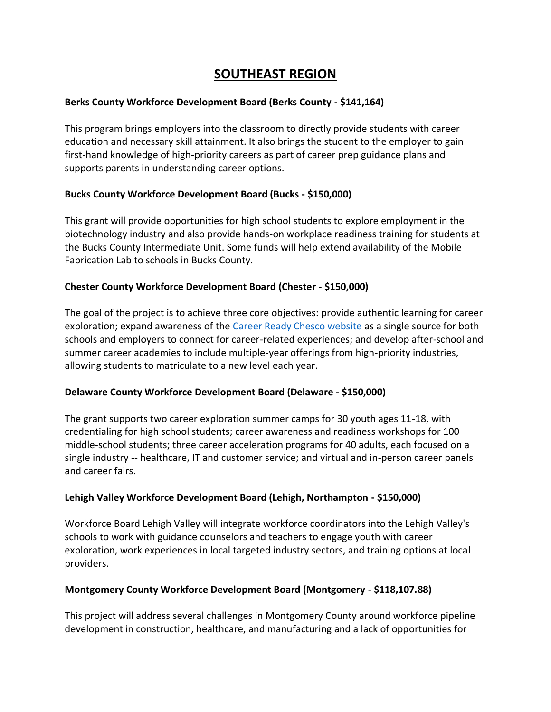# **SOUTHEAST REGION**

#### **Berks County Workforce Development Board (Berks County - \$141,164)**

This program brings employers into the classroom to directly provide students with career education and necessary skill attainment. It also brings the student to the employer to gain first-hand knowledge of high-priority careers as part of career prep guidance plans and supports parents in understanding career options.

#### **Bucks County Workforce Development Board (Bucks - \$150,000)**

This grant will provide opportunities for high school students to explore employment in the biotechnology industry and also provide hands-on workplace readiness training for students at the Bucks County Intermediate Unit. Some funds will help extend availability of the Mobile Fabrication Lab to schools in Bucks County.

#### **Chester County Workforce Development Board (Chester - \$150,000)**

The goal of the project is to achieve three core objectives: provide authentic learning for career exploration; expand awareness of the [Career Ready Chesco website](https://www.careerreadychesco.org/) as a single source for both schools and employers to connect for career-related experiences; and develop after-school and summer career academies to include multiple-year offerings from high-priority industries, allowing students to matriculate to a new level each year.

### **Delaware County Workforce Development Board (Delaware - \$150,000)**

The grant supports two career exploration summer camps for 30 youth ages 11-18, with credentialing for high school students; career awareness and readiness workshops for 100 middle-school students; three career acceleration programs for 40 adults, each focused on a single industry -- healthcare, IT and customer service; and virtual and in-person career panels and career fairs.

### **Lehigh Valley Workforce Development Board (Lehigh, Northampton - \$150,000)**

Workforce Board Lehigh Valley will integrate workforce coordinators into the Lehigh Valley's schools to work with guidance counselors and teachers to engage youth with career exploration, work experiences in local targeted industry sectors, and training options at local providers.

### **Montgomery County Workforce Development Board (Montgomery - \$118,107.88)**

This project will address several challenges in Montgomery County around workforce pipeline development in construction, healthcare, and manufacturing and a lack of opportunities for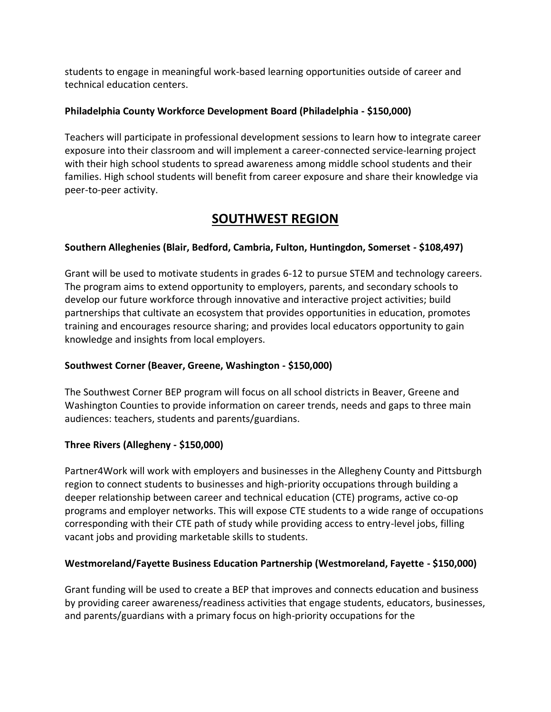students to engage in meaningful work-based learning opportunities outside of career and technical education centers.

### **Philadelphia County Workforce Development Board (Philadelphia - \$150,000)**

Teachers will participate in professional development sessions to learn how to integrate career exposure into their classroom and will implement a career-connected service-learning project with their high school students to spread awareness among middle school students and their families. High school students will benefit from career exposure and share their knowledge via peer-to-peer activity.

# **SOUTHWEST REGION**

## **Southern Alleghenies (Blair, Bedford, Cambria, Fulton, Huntingdon, Somerset - \$108,497)**

Grant will be used to motivate students in grades 6-12 to pursue STEM and technology careers. The program aims to extend opportunity to employers, parents, and secondary schools to develop our future workforce through innovative and interactive project activities; build partnerships that cultivate an ecosystem that provides opportunities in education, promotes training and encourages resource sharing; and provides local educators opportunity to gain knowledge and insights from local employers.

### **Southwest Corner (Beaver, Greene, Washington - \$150,000)**

The Southwest Corner BEP program will focus on all school districts in Beaver, Greene and Washington Counties to provide information on career trends, needs and gaps to three main audiences: teachers, students and parents/guardians.

## **Three Rivers (Allegheny - \$150,000)**

Partner4Work will work with employers and businesses in the Allegheny County and Pittsburgh region to connect students to businesses and high-priority occupations through building a deeper relationship between career and technical education (CTE) programs, active co-op programs and employer networks. This will expose CTE students to a wide range of occupations corresponding with their CTE path of study while providing access to entry-level jobs, filling vacant jobs and providing marketable skills to students.

### **Westmoreland/Fayette Business Education Partnership (Westmoreland, Fayette - \$150,000)**

Grant funding will be used to create a BEP that improves and connects education and business by providing career awareness/readiness activities that engage students, educators, businesses, and parents/guardians with a primary focus on high-priority occupations for the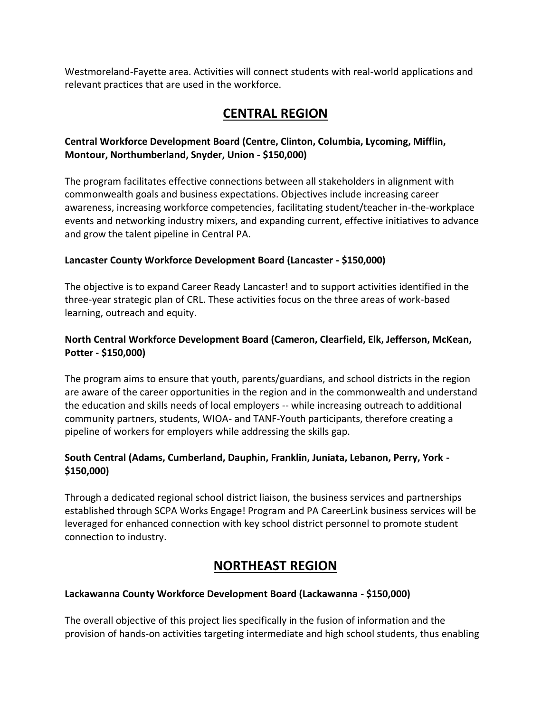Westmoreland-Fayette area. Activities will connect students with real-world applications and relevant practices that are used in the workforce.

# **CENTRAL REGION**

## **Central Workforce Development Board (Centre, Clinton, Columbia, Lycoming, Mifflin, Montour, Northumberland, Snyder, Union - \$150,000)**

The program facilitates effective connections between all stakeholders in alignment with commonwealth goals and business expectations. Objectives include increasing career awareness, increasing workforce competencies, facilitating student/teacher in-the-workplace events and networking industry mixers, and expanding current, effective initiatives to advance and grow the talent pipeline in Central PA.

## **Lancaster County Workforce Development Board (Lancaster - \$150,000)**

The objective is to expand Career Ready Lancaster! and to support activities identified in the three-year strategic plan of CRL. These activities focus on the three areas of work-based learning, outreach and equity.

## **North Central Workforce Development Board (Cameron, Clearfield, Elk, Jefferson, McKean, Potter - \$150,000)**

The program aims to ensure that youth, parents/guardians, and school districts in the region are aware of the career opportunities in the region and in the commonwealth and understand the education and skills needs of local employers -- while increasing outreach to additional community partners, students, WIOA- and TANF-Youth participants, therefore creating a pipeline of workers for employers while addressing the skills gap.

## **South Central (Adams, Cumberland, Dauphin, Franklin, Juniata, Lebanon, Perry, York - \$150,000)**

Through a dedicated regional school district liaison, the business services and partnerships established through SCPA Works Engage! Program and PA CareerLink business services will be leveraged for enhanced connection with key school district personnel to promote student connection to industry.

# **NORTHEAST REGION**

### **Lackawanna County Workforce Development Board (Lackawanna - \$150,000)**

The overall objective of this project lies specifically in the fusion of information and the provision of hands-on activities targeting intermediate and high school students, thus enabling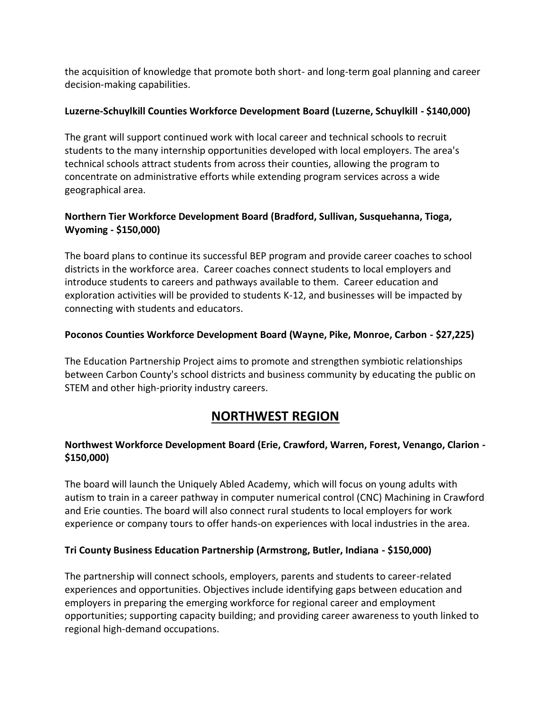the acquisition of knowledge that promote both short- and long-term goal planning and career decision-making capabilities.

### **Luzerne-Schuylkill Counties Workforce Development Board (Luzerne, Schuylkill - \$140,000)**

The grant will support continued work with local career and technical schools to recruit students to the many internship opportunities developed with local employers. The area's technical schools attract students from across their counties, allowing the program to concentrate on administrative efforts while extending program services across a wide geographical area.

## **Northern Tier Workforce Development Board (Bradford, Sullivan, Susquehanna, Tioga, Wyoming - \$150,000)**

The board plans to continue its successful BEP program and provide career coaches to school districts in the workforce area. Career coaches connect students to local employers and introduce students to careers and pathways available to them. Career education and exploration activities will be provided to students K-12, and businesses will be impacted by connecting with students and educators.

## **Poconos Counties Workforce Development Board (Wayne, Pike, Monroe, Carbon - \$27,225)**

The Education Partnership Project aims to promote and strengthen symbiotic relationships between Carbon County's school districts and business community by educating the public on STEM and other high-priority industry careers.

# **NORTHWEST REGION**

## **Northwest Workforce Development Board (Erie, Crawford, Warren, Forest, Venango, Clarion - \$150,000)**

The board will launch the Uniquely Abled Academy, which will focus on young adults with autism to train in a career pathway in computer numerical control (CNC) Machining in Crawford and Erie counties. The board will also connect rural students to local employers for work experience or company tours to offer hands-on experiences with local industries in the area.

### **Tri County Business Education Partnership (Armstrong, Butler, Indiana - \$150,000)**

The partnership will connect schools, employers, parents and students to career-related experiences and opportunities. Objectives include identifying gaps between education and employers in preparing the emerging workforce for regional career and employment opportunities; supporting capacity building; and providing career awareness to youth linked to regional high-demand occupations.